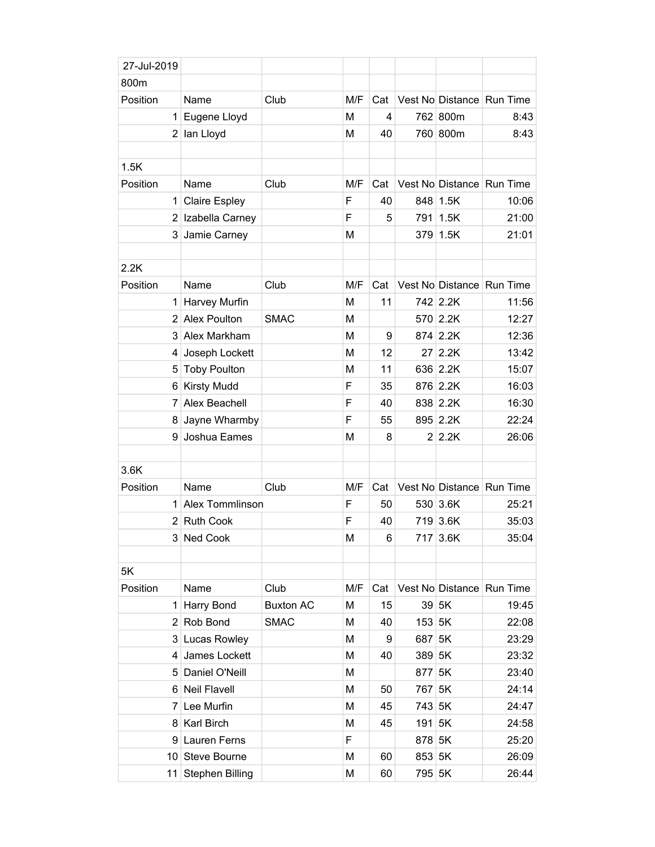| 27-Jul-2019    |                        |                  |     |     |        |                  |                           |
|----------------|------------------------|------------------|-----|-----|--------|------------------|---------------------------|
| 800m           |                        |                  |     |     |        |                  |                           |
| Position       | Name                   | Club             | M/F | Cat |        |                  | Vest No Distance Run Time |
| 1              | Eugene Lloyd           |                  | M   | 4   |        | 762 800m         | 8:43                      |
| 2              | lan Lloyd              |                  | M   | 40  |        | 760 800m         | 8:43                      |
|                |                        |                  |     |     |        |                  |                           |
| 1.5K           |                        |                  |     |     |        |                  |                           |
| Position       | Name                   | Club             | M/F | Cat |        |                  | Vest No Distance Run Time |
| 1              | <b>Claire Espley</b>   |                  | F   | 40  |        | 848 1.5K         | 10:06                     |
|                | 2 Izabella Carney      |                  | F   | 5   | 791    | $\vert$ 1.5K     | 21:00                     |
| 3              | Jamie Carney           |                  | M   |     |        | 379 1.5K         | 21:01                     |
|                |                        |                  |     |     |        |                  |                           |
| 2.2K           |                        |                  |     |     |        |                  |                           |
| Position       | Name                   | Club             | M/F | Cat |        | Vest No Distance | Run Time                  |
| 1              | Harvey Murfin          |                  | M   | 11  |        | 742 2.2K         | 11:56                     |
| $\overline{2}$ | <b>Alex Poulton</b>    | <b>SMAC</b>      | M   |     |        | 570 2.2K         | 12:27                     |
| 3              | Alex Markham           |                  | M   | 9   |        | 874 2.2K         | 12:36                     |
| 4              | Joseph Lockett         |                  | M   | 12  | 27     | 2.2K             | 13:42                     |
| 5              | <b>Toby Poulton</b>    |                  | M   | 11  |        | 636 2.2K         | 15:07                     |
| 6              | <b>Kirsty Mudd</b>     |                  | F   | 35  |        | 876 2.2K         | 16:03                     |
| 7              | Alex Beachell          |                  | F   | 40  |        | 838 2.2K         | 16:30                     |
| 8              | Jayne Wharmby          |                  | F   | 55  |        | 895 2.2K         | 22:24                     |
| 9              | Joshua Eames           |                  | M   | 8   |        | $2$ 2.2K         | 26:06                     |
|                |                        |                  |     |     |        |                  |                           |
| 3.6K           |                        |                  |     |     |        |                  |                           |
| Position       | Name                   | Club             | M/F | Cat |        |                  | Vest No Distance Run Time |
| 1              | Alex Tommlinson        |                  | F   | 50  |        | 530 3.6K         | 25:21                     |
| 2 <sup>1</sup> | <b>Ruth Cook</b>       |                  | F   | 40  |        | 719 3.6K         | 35:03                     |
|                | 3 Ned Cook             |                  | М   | 6   |        | 717 3.6K         | 35:04                     |
|                |                        |                  |     |     |        |                  |                           |
| 5K             |                        |                  |     |     |        |                  |                           |
| Position       | Name                   | Club             | M/F | Cat |        |                  | Vest No Distance Run Time |
| 1.             | Harry Bond             | <b>Buxton AC</b> | M   | 15  |        | 39 5K            | 19:45                     |
|                | 2 Rob Bond             | <b>SMAC</b>      | M   | 40  | 153 5K |                  | 22:08                     |
| 3              | Lucas Rowley           |                  | M   | 9   | 687    | 5K               | 23:29                     |
| 4              | James Lockett          |                  | M   | 40  | 389 5K |                  | 23:32                     |
| 5              | Daniel O'Neill         |                  | M   |     | 877    | 5K               | 23:40                     |
|                | 6 Neil Flavell         |                  | M   | 50  | 767    | 5K               | 24:14                     |
| 7              | Lee Murfin             |                  | М   | 45  | 743 5K |                  | 24:47                     |
| 8              | <b>Karl Birch</b>      |                  | M   | 45  | 191    | 5K               | 24:58                     |
| 9              | Lauren Ferns           |                  | F   |     | 878 5K |                  | 25:20                     |
|                | 10 Steve Bourne        |                  | M   | 60  | 853 5K |                  | 26:09                     |
| 11             | <b>Stephen Billing</b> |                  | M   | 60  | 795 5K |                  | 26:44                     |